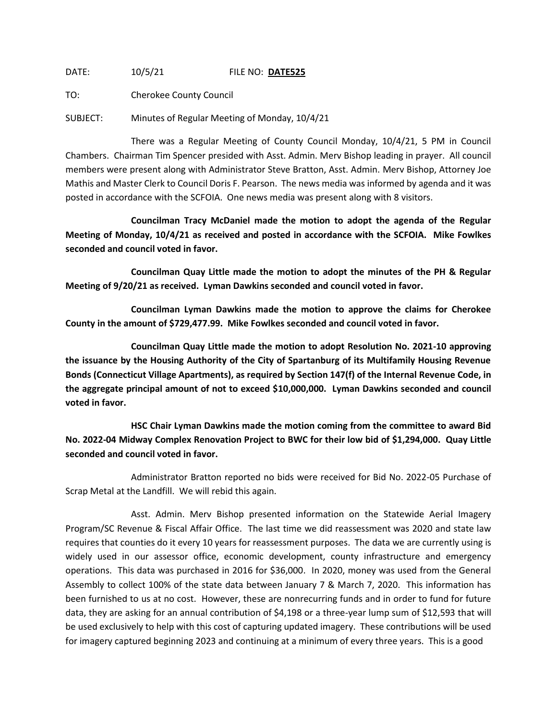DATE: 10/5/21 FILE NO: **DATE525**

TO: Cherokee County Council

SUBJECT: Minutes of Regular Meeting of Monday, 10/4/21

There was a Regular Meeting of County Council Monday, 10/4/21, 5 PM in Council Chambers. Chairman Tim Spencer presided with Asst. Admin. Merv Bishop leading in prayer. All council members were present along with Administrator Steve Bratton, Asst. Admin. Merv Bishop, Attorney Joe Mathis and Master Clerk to Council Doris F. Pearson. The news media was informed by agenda and it was posted in accordance with the SCFOIA. One news media was present along with 8 visitors.

**Councilman Tracy McDaniel made the motion to adopt the agenda of the Regular Meeting of Monday, 10/4/21 as received and posted in accordance with the SCFOIA. Mike Fowlkes seconded and council voted in favor.**

**Councilman Quay Little made the motion to adopt the minutes of the PH & Regular Meeting of 9/20/21 as received. Lyman Dawkins seconded and council voted in favor.**

**Councilman Lyman Dawkins made the motion to approve the claims for Cherokee County in the amount of \$729,477.99. Mike Fowlkes seconded and council voted in favor.**

**Councilman Quay Little made the motion to adopt Resolution No. 2021-10 approving the issuance by the Housing Authority of the City of Spartanburg of its Multifamily Housing Revenue Bonds (Connecticut Village Apartments), as required by Section 147(f) of the Internal Revenue Code, in the aggregate principal amount of not to exceed \$10,000,000. Lyman Dawkins seconded and council voted in favor.**

**HSC Chair Lyman Dawkins made the motion coming from the committee to award Bid No. 2022-04 Midway Complex Renovation Project to BWC for their low bid of \$1,294,000. Quay Little seconded and council voted in favor.**

Administrator Bratton reported no bids were received for Bid No. 2022-05 Purchase of Scrap Metal at the Landfill. We will rebid this again.

Asst. Admin. Merv Bishop presented information on the Statewide Aerial Imagery Program/SC Revenue & Fiscal Affair Office. The last time we did reassessment was 2020 and state law requires that counties do it every 10 years for reassessment purposes. The data we are currently using is widely used in our assessor office, economic development, county infrastructure and emergency operations. This data was purchased in 2016 for \$36,000. In 2020, money was used from the General Assembly to collect 100% of the state data between January 7 & March 7, 2020. This information has been furnished to us at no cost. However, these are nonrecurring funds and in order to fund for future data, they are asking for an annual contribution of \$4,198 or a three-year lump sum of \$12,593 that will be used exclusively to help with this cost of capturing updated imagery. These contributions will be used for imagery captured beginning 2023 and continuing at a minimum of every three years. This is a good